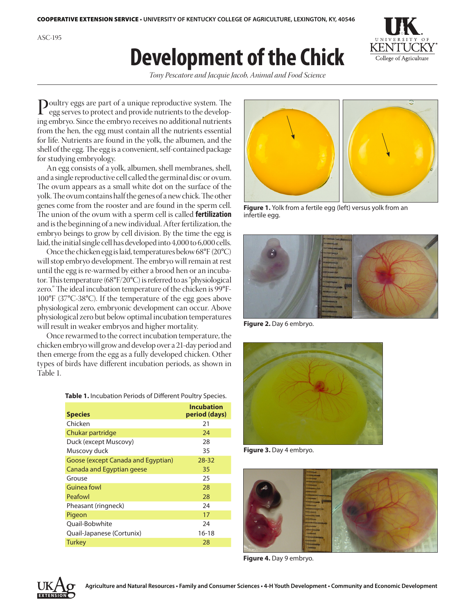ASC-195

## **Development of the Chick**



*Tony Pescatore and Jacquie Jacob, Animal and Food Science*

Poultry eggs are part of a unique reproductive system. The egg serves to protect and number egg serves to protect and provide nutrients to the developing embryo. Since the embryo receives no additional nutrients from the hen, the egg must contain all the nutrients essential for life. Nutrients are found in the yolk, the albumen, and the shell of the egg. The egg is a convenient, self-contained package for studying embryology.

An egg consists of a yolk, albumen, shell membranes, shell, and a single reproductive cell called the germinal disc or ovum. The ovum appears as a small white dot on the surface of the yolk. The ovum contains half the genes of a new chick. The other genes come from the rooster and are found in the sperm cell. The union of the ovum with a sperm cell is called **fertilization**  and is the beginning of a new individual. After fertilization, the embryo beings to grow by cell division. By the time the egg is laid, the initial single cell has developed into 4,000 to 6,000 cells.

Once the chicken egg is laid, temperatures below 68°F (20°C) will stop embryo development. The embryo will remain at rest until the egg is re-warmed by either a brood hen or an incubator. This temperature (68°F/20°C) is referred to as "physiological zero." The ideal incubation temperature of the chicken is 99°F-100°F (37°C-38°C). If the temperature of the egg goes above physiological zero, embryonic development can occur. Above physiological zero but below optimal incubation temperatures will result in weaker embryos and higher mortality.

Once rewarmed to the correct incubation temperature, the chicken embryo will grow and develop over a 21-day period and then emerge from the egg as a fully developed chicken. Other types of birds have different incubation periods, as shown in Table 1.

| Table 1. Incubation Periods of Different Poultry Species. |  |  |  |
|-----------------------------------------------------------|--|--|--|
|-----------------------------------------------------------|--|--|--|

| <b>Species</b>                     | <b>Incubation</b><br>period (days) |
|------------------------------------|------------------------------------|
| Chicken                            | 21                                 |
| Chukar partridge                   | 24                                 |
| Duck (except Muscovy)              | 28                                 |
| Muscovy duck                       | 35                                 |
| Goose (except Canada and Egyptian) | 28-32                              |
| Canada and Egyptian geese          | 35                                 |
| Grouse                             | 25                                 |
| Guinea fowl                        | 28                                 |
| Peafowl                            | 28                                 |
| Pheasant (ringneck)                | 24                                 |
| Pigeon                             | 17                                 |
| Ouail-Bobwhite                     | 24                                 |
| Quail-Japanese (Cortunix)          | $16 - 18$                          |
| <b>Turkey</b>                      | 28                                 |



**Figure 1.** Yolk from a fertile egg (left) versus yolk from an infertile egg.



**Figure 2.** Day 6 embryo.



**Figure 3.** Day 4 embryo.



**Figure 4.** Day 9 embryo.

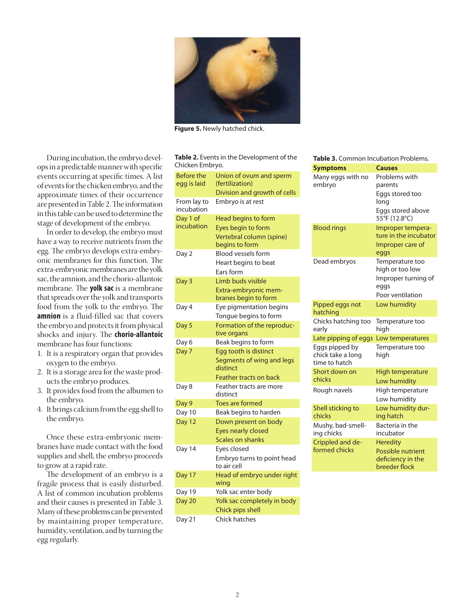

**Figure 5.** Newly hatched chick.

During incubation, the embryo develops in a predictable manner with specific events occurring at specific times. A list of events for the chicken embryo, and the approximate times of their occurrence are presented in Table 2. The information in this table can be used to determine the stage of development of the embryo.

In order to develop, the embryo must have a way to receive nutrients from the egg. The embryo develops extra-embryonic membranes for this function. The extra-embryonic membranes are the yolk sac, the amnion, and the chorio-allantoic membrane. The **yolk sac** is a membrane that spreads over the yolk and transports food from the yolk to the embryo. The **amnion** is a fluid-filled sac that covers the embryo and protects it from physical shocks and injury. The **chorio-allantoic**  membrane has four functions:

- 1. It is a respiratory organ that provides oxygen to the embryo.
- 2. It is a storage area for the waste products the embryo produces.
- 3. It provides food from the albumen to the embryo.
- 4. It brings calcium from the egg shell to the embryo.

Once these extra-embryonic membranes have made contact with the food supplies and shell, the embryo proceeds to grow at a rapid rate.

The development of an embryo is a fragile process that is easily disturbed. A list of common incubation problems and their causes is presented in Table 3. Many of these problems can be prevented by maintaining proper temperature, humidity, ventilation, and by turning the egg regularly.

| <b>Table 2.</b> Events in the Development of the |
|--------------------------------------------------|
| Chicken Embryo.                                  |

| Before the<br>egg is laid | Union of ovum and sperm<br>(fertilization)       |
|---------------------------|--------------------------------------------------|
|                           | Division and growth of cells                     |
| From lay to<br>incubation | Embryo is at rest                                |
| Day 1 of                  | Head begins to form                              |
| incubation                | Eyes begin to form                               |
|                           | Vertebral column (spine)                         |
|                           | begins to form                                   |
| Day 2                     | <b>Blood vessels form</b>                        |
|                           | Heart begins to beat                             |
|                           | Ears form                                        |
| Day 3                     | Limb buds visible                                |
|                           | Extra-embryonic mem-<br>branes begin to form     |
|                           |                                                  |
| Day 4                     | Eye pigmentation begins<br>Tongue begins to form |
|                           | Formation of the reproduc-                       |
| Day 5                     | tive organs                                      |
| Day 6                     | Beak begins to form                              |
| Day 7                     | Egg tooth is distinct                            |
|                           | Segments of wing and legs                        |
|                           | distinct                                         |
|                           | <b>Feather tracts on back</b>                    |
| Day 8                     | Feather tracts are more                          |
|                           | distinct                                         |
| Day 9                     | <b>Toes are formed</b>                           |
| Day 10                    | Beak begins to harden                            |
| Day 12                    | Down present on body                             |
|                           | <b>Eyes nearly closed</b>                        |
|                           | Scales on shanks                                 |
| Day 14                    | Eyes closed                                      |
|                           | Embryo turns to point head                       |
|                           | to air cell                                      |
| Day 17                    | Head of embryo under right                       |
|                           | wing                                             |
| Day 19                    | Yolk sac enter body                              |
| Day 20                    | Yolk sac completely in body                      |
|                           | Chick pips shell                                 |
| Day 21                    | Chick hatches                                    |

| Table 3. Common Incubation Problems.                 |                                                                                           |  |
|------------------------------------------------------|-------------------------------------------------------------------------------------------|--|
| <b>Symptoms</b>                                      | <b>Causes</b>                                                                             |  |
| Many eggs with no<br>embryo                          | Problems with<br>parents<br>Eggs stored too<br>long<br>Eggs stored above<br>55°F (12.8°C) |  |
| <b>Blood rings</b>                                   | Improper tempera-<br>ture in the incubator<br>Improper care of<br>eggs                    |  |
| Dead embryos                                         | Temperature too<br>high or too low<br>Improper turning of<br>eggs<br>Poor ventilation     |  |
| Pipped eggs not<br>hatching                          | Low humidity                                                                              |  |
| Chicks hatching too<br>early                         | Temperature too<br>high                                                                   |  |
| Late pipping of eggs                                 | Low temperatures                                                                          |  |
| Eggs pipped by<br>chick take a long<br>time to hatch | Temperature too<br>high                                                                   |  |
| Short down on<br>chicks                              | High temperature<br>Low humidity                                                          |  |
| Rough navels                                         | High temperature<br>Low humidity                                                          |  |
| Shell sticking to<br>chicks                          | Low humidity dur-<br>ing hatch                                                            |  |
| Mushy, bad-smell-<br>ing chicks                      | Bacteria in the<br>incubator                                                              |  |
| Crippled and de-<br>formed chicks                    | <b>Heredity</b><br>Possible nutrient<br>deficiency in the<br>breeder flock                |  |